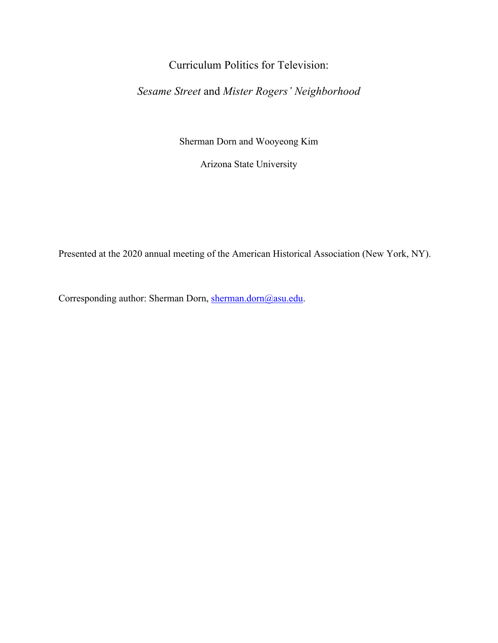# Curriculum Politics for Television:

## *Sesame Street* and *Mister Rogers' Neighborhood*

Sherman Dorn and Wooyeong Kim

Arizona State University

Presented at the 2020 annual meeting of the American Historical Association (New York, NY).

Corresponding author: Sherman Dorn, sherman.dorn@asu.edu.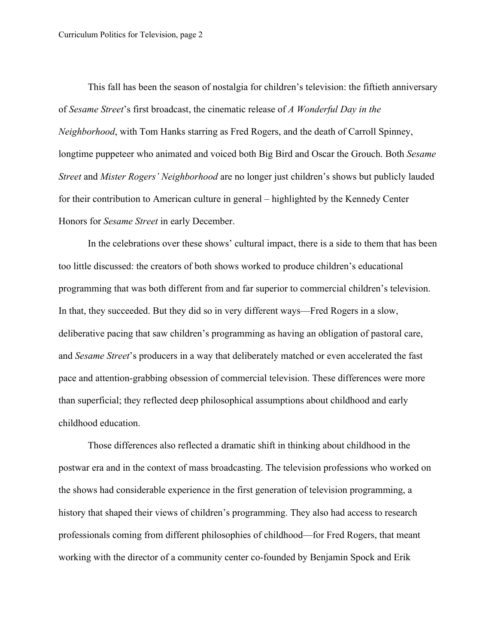This fall has been the season of nostalgia for children's television: the fiftieth anniversary of *Sesame Street*'s first broadcast, the cinematic release of *A Wonderful Day in the Neighborhood*, with Tom Hanks starring as Fred Rogers, and the death of Carroll Spinney, longtime puppeteer who animated and voiced both Big Bird and Oscar the Grouch. Both *Sesame Street* and *Mister Rogers' Neighborhood* are no longer just children's shows but publicly lauded for their contribution to American culture in general – highlighted by the Kennedy Center Honors for *Sesame Street* in early December.

In the celebrations over these shows' cultural impact, there is a side to them that has been too little discussed: the creators of both shows worked to produce children's educational programming that was both different from and far superior to commercial children's television. In that, they succeeded. But they did so in very different ways—Fred Rogers in a slow, deliberative pacing that saw children's programming as having an obligation of pastoral care, and *Sesame Street*'s producers in a way that deliberately matched or even accelerated the fast pace and attention-grabbing obsession of commercial television. These differences were more than superficial; they reflected deep philosophical assumptions about childhood and early childhood education.

Those differences also reflected a dramatic shift in thinking about childhood in the postwar era and in the context of mass broadcasting. The television professions who worked on the shows had considerable experience in the first generation of television programming, a history that shaped their views of children's programming. They also had access to research professionals coming from different philosophies of childhood—for Fred Rogers, that meant working with the director of a community center co-founded by Benjamin Spock and Erik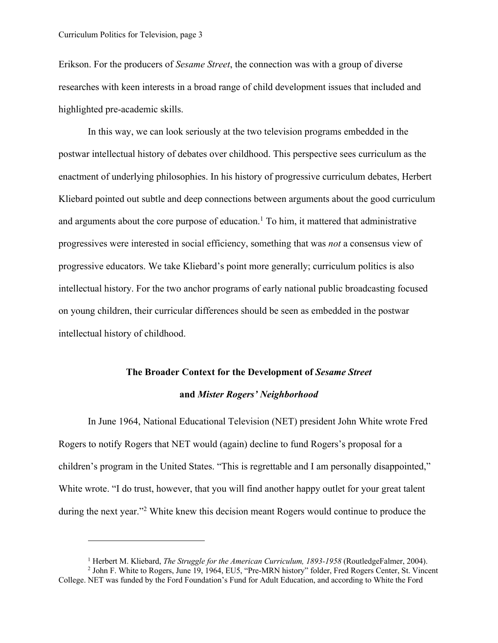Erikson. For the producers of *Sesame Street*, the connection was with a group of diverse researches with keen interests in a broad range of child development issues that included and highlighted pre-academic skills.

In this way, we can look seriously at the two television programs embedded in the postwar intellectual history of debates over childhood. This perspective sees curriculum as the enactment of underlying philosophies. In his history of progressive curriculum debates, Herbert Kliebard pointed out subtle and deep connections between arguments about the good curriculum and arguments about the core purpose of education.<sup>1</sup> To him, it mattered that administrative progressives were interested in social efficiency, something that was *not* a consensus view of progressive educators. We take Kliebard's point more generally; curriculum politics is also intellectual history. For the two anchor programs of early national public broadcasting focused on young children, their curricular differences should be seen as embedded in the postwar intellectual history of childhood.

# **The Broader Context for the Development of** *Sesame Street* **and** *Mister Rogers' Neighborhood*

In June 1964, National Educational Television (NET) president John White wrote Fred Rogers to notify Rogers that NET would (again) decline to fund Rogers's proposal for a children's program in the United States. "This is regrettable and I am personally disappointed," White wrote. "I do trust, however, that you will find another happy outlet for your great talent during the next year."2 White knew this decision meant Rogers would continue to produce the

<sup>&</sup>lt;sup>1</sup> Herbert M. Kliebard, *The Struggle for the American Curriculum, 1893-1958* (RoutledgeFalmer, 2004).

<sup>2</sup> John F. White to Rogers, June 19, 1964, EU5, "Pre-MRN history" folder, Fred Rogers Center, St. Vincent College. NET was funded by the Ford Foundation's Fund for Adult Education, and according to White the Ford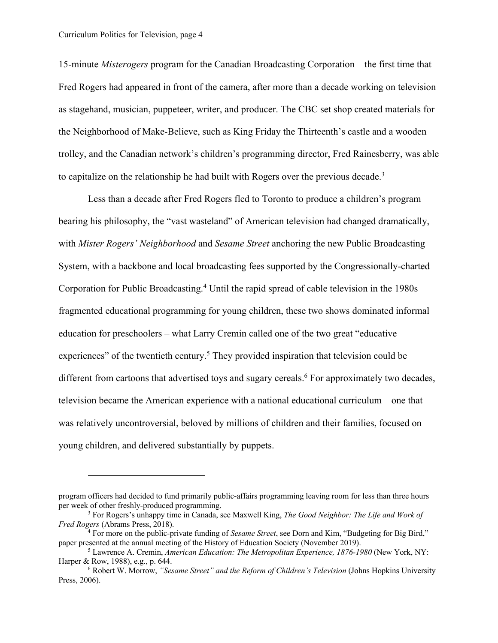15-minute *Misterogers* program for the Canadian Broadcasting Corporation – the first time that Fred Rogers had appeared in front of the camera, after more than a decade working on television as stagehand, musician, puppeteer, writer, and producer. The CBC set shop created materials for the Neighborhood of Make-Believe, such as King Friday the Thirteenth's castle and a wooden trolley, and the Canadian network's children's programming director, Fred Rainesberry, was able to capitalize on the relationship he had built with Rogers over the previous decade.<sup>3</sup>

Less than a decade after Fred Rogers fled to Toronto to produce a children's program bearing his philosophy, the "vast wasteland" of American television had changed dramatically, with *Mister Rogers' Neighborhood* and *Sesame Street* anchoring the new Public Broadcasting System, with a backbone and local broadcasting fees supported by the Congressionally-charted Corporation for Public Broadcasting.4 Until the rapid spread of cable television in the 1980s fragmented educational programming for young children, these two shows dominated informal education for preschoolers – what Larry Cremin called one of the two great "educative experiences" of the twentieth century.<sup>5</sup> They provided inspiration that television could be different from cartoons that advertised toys and sugary cereals.<sup>6</sup> For approximately two decades, television became the American experience with a national educational curriculum – one that was relatively uncontroversial, beloved by millions of children and their families, focused on young children, and delivered substantially by puppets.

program officers had decided to fund primarily public-affairs programming leaving room for less than three hours per week of other freshly-produced programming. 3 For Rogers's unhappy time in Canada, see Maxwell King, *The Good Neighbor: The Life and Work of* 

*Fred Rogers* (Abrams Press, 2018).

<sup>4</sup> For more on the public-private funding of *Sesame Street*, see Dorn and Kim, "Budgeting for Big Bird," paper presented at the annual meeting of the History of Education Society (November 2019).

<sup>5</sup> Lawrence A. Cremin, *American Education: The Metropolitan Experience, 1876-1980* (New York, NY: Harper & Row, 1988), e.g., p. 644.

<sup>6</sup> Robert W. Morrow, *"Sesame Street" and the Reform of Children's Television* (Johns Hopkins University Press, 2006).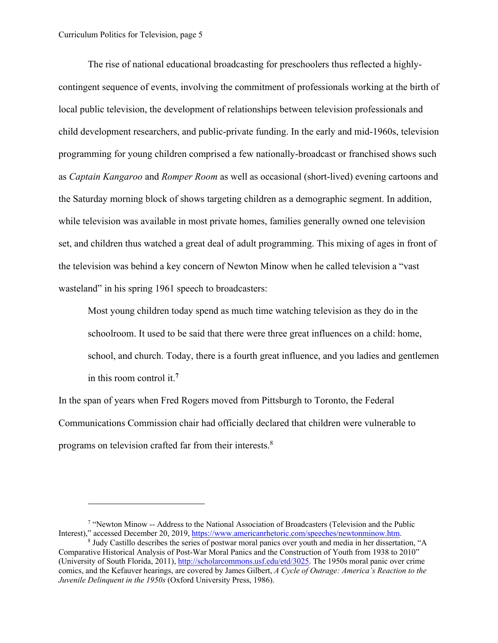The rise of national educational broadcasting for preschoolers thus reflected a highlycontingent sequence of events, involving the commitment of professionals working at the birth of local public television, the development of relationships between television professionals and child development researchers, and public-private funding. In the early and mid-1960s, television programming for young children comprised a few nationally-broadcast or franchised shows such as *Captain Kangaroo* and *Romper Room* as well as occasional (short-lived) evening cartoons and the Saturday morning block of shows targeting children as a demographic segment. In addition, while television was available in most private homes, families generally owned one television set, and children thus watched a great deal of adult programming. This mixing of ages in front of the television was behind a key concern of Newton Minow when he called television a "vast wasteland" in his spring 1961 speech to broadcasters:

Most young children today spend as much time watching television as they do in the schoolroom. It used to be said that there were three great influences on a child: home, school, and church. Today, there is a fourth great influence, and you ladies and gentlemen in this room control it.**<sup>7</sup>**

In the span of years when Fred Rogers moved from Pittsburgh to Toronto, the Federal Communications Commission chair had officially declared that children were vulnerable to programs on television crafted far from their interests.<sup>8</sup>

<sup>7</sup> "Newton Minow -- Address to the National Association of Broadcasters (Television and the Public Interest)," accessed December 20, 2019, https://www.americanrhetoric.com/speeches/newtonminow.htm.

<sup>8</sup> Judy Castillo describes the series of postwar moral panics over youth and media in her dissertation, "A Comparative Historical Analysis of Post-War Moral Panics and the Construction of Youth from 1938 to 2010" (University of South Florida, 2011), http://scholarcommons.usf.edu/etd/3025. The 1950s moral panic over crime comics, and the Kefauver hearings, are covered by James Gilbert, *A Cycle of Outrage: America's Reaction to the Juvenile Delinquent in the 1950s* (Oxford University Press, 1986).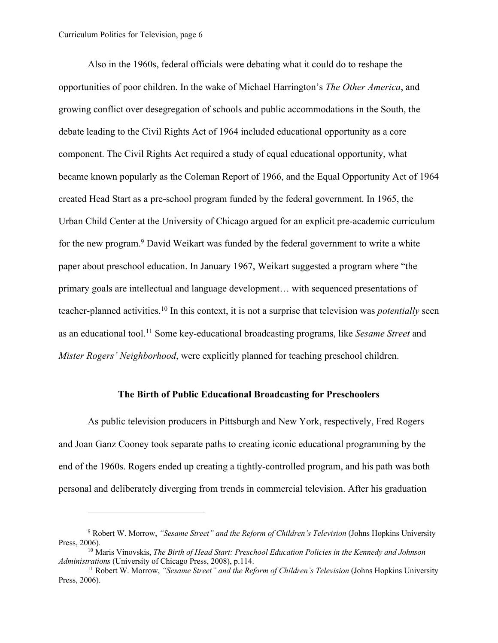Also in the 1960s, federal officials were debating what it could do to reshape the opportunities of poor children. In the wake of Michael Harrington's *The Other America*, and growing conflict over desegregation of schools and public accommodations in the South, the debate leading to the Civil Rights Act of 1964 included educational opportunity as a core component. The Civil Rights Act required a study of equal educational opportunity, what became known popularly as the Coleman Report of 1966, and the Equal Opportunity Act of 1964 created Head Start as a pre-school program funded by the federal government. In 1965, the Urban Child Center at the University of Chicago argued for an explicit pre-academic curriculum for the new program. <sup>9</sup> David Weikart was funded by the federal government to write a white paper about preschool education. In January 1967, Weikart suggested a program where "the primary goals are intellectual and language development… with sequenced presentations of teacher-planned activities.10 In this context, it is not a surprise that television was *potentially* seen as an educational tool.11 Some key-educational broadcasting programs, like *Sesame Street* and *Mister Rogers' Neighborhood*, were explicitly planned for teaching preschool children.

#### **The Birth of Public Educational Broadcasting for Preschoolers**

As public television producers in Pittsburgh and New York, respectively, Fred Rogers and Joan Ganz Cooney took separate paths to creating iconic educational programming by the end of the 1960s. Rogers ended up creating a tightly-controlled program, and his path was both personal and deliberately diverging from trends in commercial television. After his graduation

<sup>9</sup> Robert W. Morrow, *"Sesame Street" and the Reform of Children's Television* (Johns Hopkins University Press, 2006).

<sup>10</sup> Maris Vinovskis, *The Birth of Head Start: Preschool Education Policies in the Kennedy and Johnson Administrations* (University of Chicago Press, 2008), p.114.

<sup>11</sup> Robert W. Morrow, *"Sesame Street" and the Reform of Children's Television* (Johns Hopkins University Press, 2006).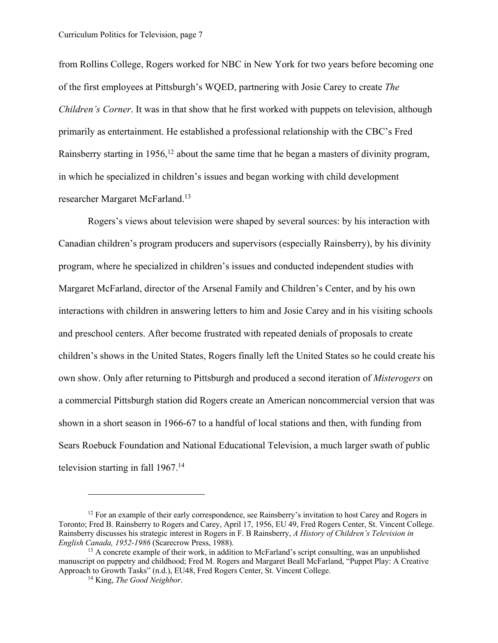from Rollins College, Rogers worked for NBC in New York for two years before becoming one of the first employees at Pittsburgh's WQED, partnering with Josie Carey to create *The Children's Corner*. It was in that show that he first worked with puppets on television, although primarily as entertainment. He established a professional relationship with the CBC's Fred Rainsberry starting in  $1956$ ,<sup>12</sup> about the same time that he began a masters of divinity program, in which he specialized in children's issues and began working with child development researcher Margaret McFarland.13

Rogers's views about television were shaped by several sources: by his interaction with Canadian children's program producers and supervisors (especially Rainsberry), by his divinity program, where he specialized in children's issues and conducted independent studies with Margaret McFarland, director of the Arsenal Family and Children's Center, and by his own interactions with children in answering letters to him and Josie Carey and in his visiting schools and preschool centers. After become frustrated with repeated denials of proposals to create children's shows in the United States, Rogers finally left the United States so he could create his own show. Only after returning to Pittsburgh and produced a second iteration of *Misterogers* on a commercial Pittsburgh station did Rogers create an American noncommercial version that was shown in a short season in 1966-67 to a handful of local stations and then, with funding from Sears Roebuck Foundation and National Educational Television, a much larger swath of public television starting in fall  $1967$ .<sup>14</sup>

 $12$  For an example of their early correspondence, see Rainsberry's invitation to host Carey and Rogers in Toronto; Fred B. Rainsberry to Rogers and Carey, April 17, 1956, EU 49, Fred Rogers Center, St. Vincent College. Rainsberry discusses his strategic interest in Rogers in F. B Rainsberry, *A History of Children's Television in English Canada, 1952-1986* (Scarecrow Press, 1988).

<sup>&</sup>lt;sup>13</sup> A concrete example of their work, in addition to McFarland's script consulting, was an unpublished manuscript on puppetry and childhood; Fred M. Rogers and Margaret Beall McFarland, "Puppet Play: A Creative Approach to Growth Tasks" (n.d.), EU48, Fred Rogers Center, St. Vincent College.

<sup>14</sup> King, *The Good Neighbor*.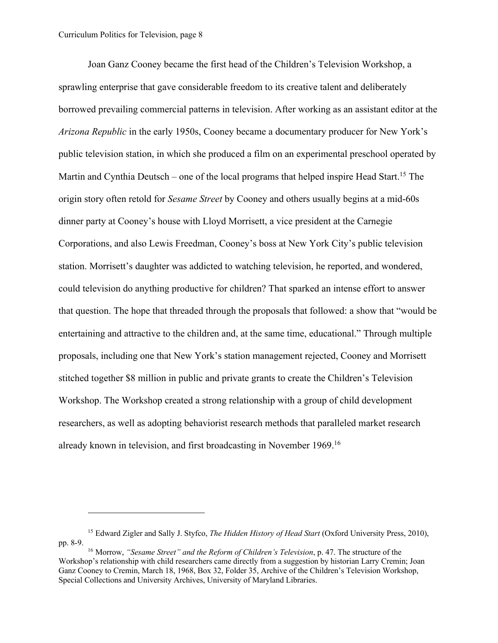Joan Ganz Cooney became the first head of the Children's Television Workshop, a sprawling enterprise that gave considerable freedom to its creative talent and deliberately borrowed prevailing commercial patterns in television. After working as an assistant editor at the *Arizona Republic* in the early 1950s, Cooney became a documentary producer for New York's public television station, in which she produced a film on an experimental preschool operated by Martin and Cynthia Deutsch – one of the local programs that helped inspire Head Start.<sup>15</sup> The origin story often retold for *Sesame Street* by Cooney and others usually begins at a mid-60s dinner party at Cooney's house with Lloyd Morrisett, a vice president at the Carnegie Corporations, and also Lewis Freedman, Cooney's boss at New York City's public television station. Morrisett's daughter was addicted to watching television, he reported, and wondered, could television do anything productive for children? That sparked an intense effort to answer that question. The hope that threaded through the proposals that followed: a show that "would be entertaining and attractive to the children and, at the same time, educational." Through multiple proposals, including one that New York's station management rejected, Cooney and Morrisett stitched together \$8 million in public and private grants to create the Children's Television Workshop. The Workshop created a strong relationship with a group of child development researchers, as well as adopting behaviorist research methods that paralleled market research already known in television, and first broadcasting in November 1969. 16

<sup>15</sup> Edward Zigler and Sally J. Styfco, *The Hidden History of Head Start* (Oxford University Press, 2010), pp. 8-9.

<sup>16</sup> Morrow, *"Sesame Street" and the Reform of Children's Television*, p. 47. The structure of the Workshop's relationship with child researchers came directly from a suggestion by historian Larry Cremin; Joan Ganz Cooney to Cremin, March 18, 1968, Box 32, Folder 35, Archive of the Children's Television Workshop, Special Collections and University Archives, University of Maryland Libraries.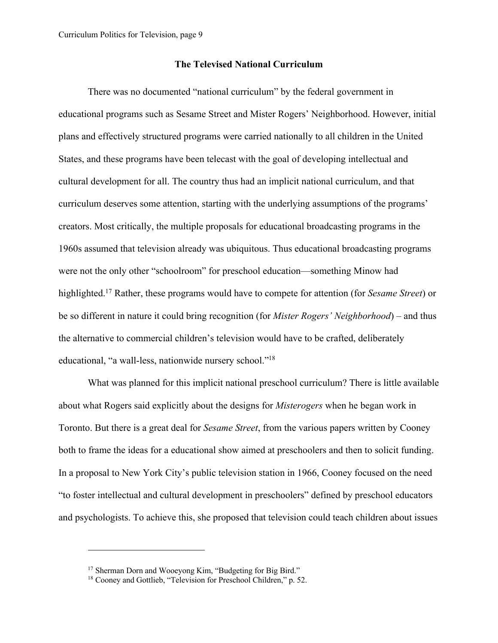#### **The Televised National Curriculum**

There was no documented "national curriculum" by the federal government in educational programs such as Sesame Street and Mister Rogers' Neighborhood. However, initial plans and effectively structured programs were carried nationally to all children in the United States, and these programs have been telecast with the goal of developing intellectual and cultural development for all. The country thus had an implicit national curriculum, and that curriculum deserves some attention, starting with the underlying assumptions of the programs' creators. Most critically, the multiple proposals for educational broadcasting programs in the 1960s assumed that television already was ubiquitous. Thus educational broadcasting programs were not the only other "schoolroom" for preschool education—something Minow had highlighted.17 Rather, these programs would have to compete for attention (for *Sesame Street*) or be so different in nature it could bring recognition (for *Mister Rogers' Neighborhood*) – and thus the alternative to commercial children's television would have to be crafted, deliberately educational, "a wall-less, nationwide nursery school."18

What was planned for this implicit national preschool curriculum? There is little available about what Rogers said explicitly about the designs for *Misterogers* when he began work in Toronto. But there is a great deal for *Sesame Street*, from the various papers written by Cooney both to frame the ideas for a educational show aimed at preschoolers and then to solicit funding. In a proposal to New York City's public television station in 1966, Cooney focused on the need "to foster intellectual and cultural development in preschoolers" defined by preschool educators and psychologists. To achieve this, she proposed that television could teach children about issues

<sup>&</sup>lt;sup>17</sup> Sherman Dorn and Wooeyong Kim, "Budgeting for Big Bird."

<sup>18</sup> Cooney and Gottlieb, "Television for Preschool Children," p. 52.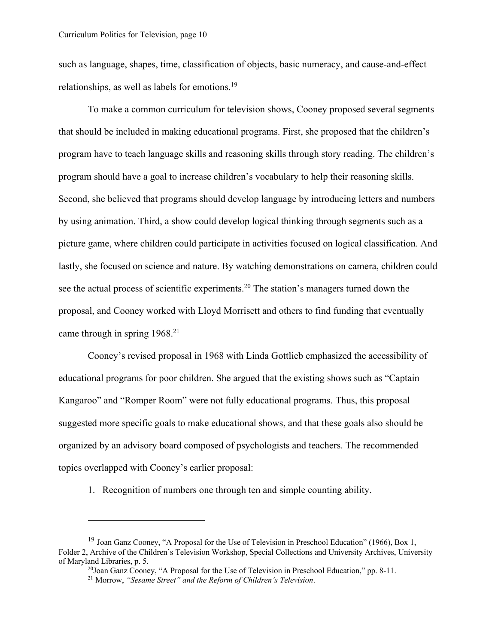such as language, shapes, time, classification of objects, basic numeracy, and cause-and-effect relationships, as well as labels for emotions.19

To make a common curriculum for television shows, Cooney proposed several segments that should be included in making educational programs. First, she proposed that the children's program have to teach language skills and reasoning skills through story reading. The children's program should have a goal to increase children's vocabulary to help their reasoning skills. Second, she believed that programs should develop language by introducing letters and numbers by using animation. Third, a show could develop logical thinking through segments such as a picture game, where children could participate in activities focused on logical classification. And lastly, she focused on science and nature. By watching demonstrations on camera, children could see the actual process of scientific experiments.<sup>20</sup> The station's managers turned down the proposal, and Cooney worked with Lloyd Morrisett and others to find funding that eventually came through in spring 1968.<sup>21</sup>

Cooney's revised proposal in 1968 with Linda Gottlieb emphasized the accessibility of educational programs for poor children. She argued that the existing shows such as "Captain Kangaroo" and "Romper Room" were not fully educational programs. Thus, this proposal suggested more specific goals to make educational shows, and that these goals also should be organized by an advisory board composed of psychologists and teachers. The recommended topics overlapped with Cooney's earlier proposal:

1. Recognition of numbers one through ten and simple counting ability.

<sup>&</sup>lt;sup>19</sup> Joan Ganz Cooney, "A Proposal for the Use of Television in Preschool Education" (1966), Box 1, Folder 2, Archive of the Children's Television Workshop, Special Collections and University Archives, University of Maryland Libraries, p. 5.

<sup>&</sup>lt;sup>20</sup>Joan Ganz Cooney, "A Proposal for the Use of Television in Preschool Education," pp. 8-11.<br><sup>21</sup> Morrow, *"Sesame Street" and the Reform of Children's Television*.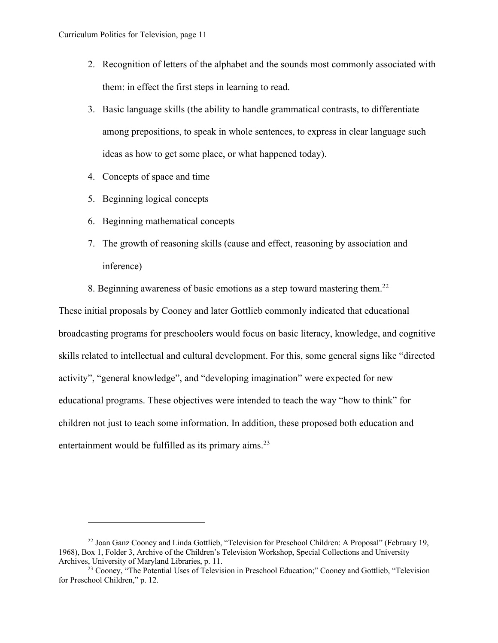- 2. Recognition of letters of the alphabet and the sounds most commonly associated with them: in effect the first steps in learning to read.
- 3. Basic language skills (the ability to handle grammatical contrasts, to differentiate among prepositions, to speak in whole sentences, to express in clear language such ideas as how to get some place, or what happened today).
- 4. Concepts of space and time
- 5. Beginning logical concepts
- 6. Beginning mathematical concepts
- 7. The growth of reasoning skills (cause and effect, reasoning by association and inference)
- 8. Beginning awareness of basic emotions as a step toward mastering them.<sup>22</sup>

These initial proposals by Cooney and later Gottlieb commonly indicated that educational broadcasting programs for preschoolers would focus on basic literacy, knowledge, and cognitive skills related to intellectual and cultural development. For this, some general signs like "directed activity", "general knowledge", and "developing imagination" were expected for new educational programs. These objectives were intended to teach the way "how to think" for children not just to teach some information. In addition, these proposed both education and entertainment would be fulfilled as its primary aims.<sup>23</sup>

<sup>&</sup>lt;sup>22</sup> Joan Ganz Cooney and Linda Gottlieb, "Television for Preschool Children: A Proposal" (February 19, 1968), Box 1, Folder 3, Archive of the Children's Television Workshop, Special Collections and University Archives, University of Maryland Libraries, p. 11.

<sup>&</sup>lt;sup>23</sup> Cooney, "The Potential Uses of Television in Preschool Education;" Cooney and Gottlieb, "Television for Preschool Children," p. 12.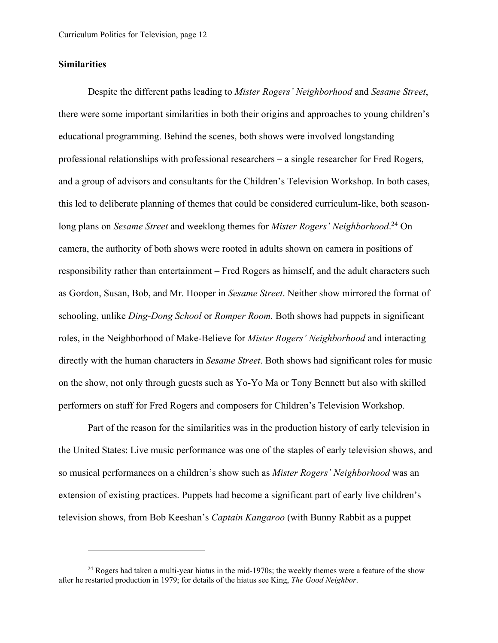#### **Similarities**

Despite the different paths leading to *Mister Rogers' Neighborhood* and *Sesame Street*, there were some important similarities in both their origins and approaches to young children's educational programming. Behind the scenes, both shows were involved longstanding professional relationships with professional researchers – a single researcher for Fred Rogers, and a group of advisors and consultants for the Children's Television Workshop. In both cases, this led to deliberate planning of themes that could be considered curriculum-like, both seasonlong plans on *Sesame Street* and weeklong themes for *Mister Rogers' Neighborhood*. <sup>24</sup> On camera, the authority of both shows were rooted in adults shown on camera in positions of responsibility rather than entertainment – Fred Rogers as himself, and the adult characters such as Gordon, Susan, Bob, and Mr. Hooper in *Sesame Street*. Neither show mirrored the format of schooling, unlike *Ding-Dong School* or *Romper Room.* Both shows had puppets in significant roles, in the Neighborhood of Make-Believe for *Mister Rogers' Neighborhood* and interacting directly with the human characters in *Sesame Street*. Both shows had significant roles for music on the show, not only through guests such as Yo-Yo Ma or Tony Bennett but also with skilled performers on staff for Fred Rogers and composers for Children's Television Workshop.

Part of the reason for the similarities was in the production history of early television in the United States: Live music performance was one of the staples of early television shows, and so musical performances on a children's show such as *Mister Rogers' Neighborhood* was an extension of existing practices. Puppets had become a significant part of early live children's television shows, from Bob Keeshan's *Captain Kangaroo* (with Bunny Rabbit as a puppet

 $^{24}$  Rogers had taken a multi-year hiatus in the mid-1970s; the weekly themes were a feature of the show after he restarted production in 1979; for details of the hiatus see King, *The Good Neighbor*.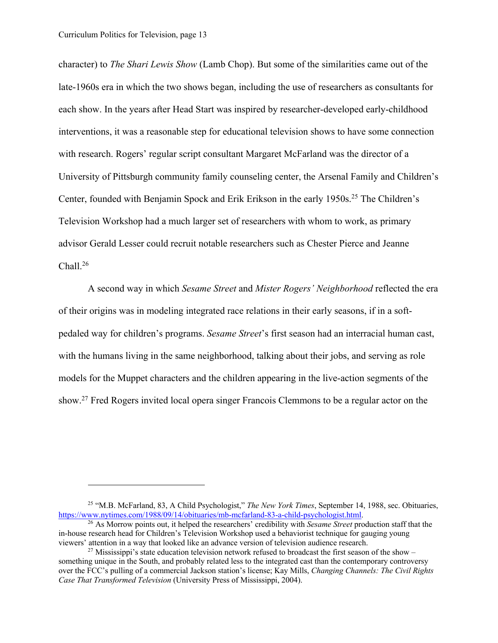character) to *The Shari Lewis Show* (Lamb Chop). But some of the similarities came out of the late-1960s era in which the two shows began, including the use of researchers as consultants for each show. In the years after Head Start was inspired by researcher-developed early-childhood interventions, it was a reasonable step for educational television shows to have some connection with research. Rogers' regular script consultant Margaret McFarland was the director of a University of Pittsburgh community family counseling center, the Arsenal Family and Children's Center, founded with Benjamin Spock and Erik Erikson in the early 1950s.<sup>25</sup> The Children's Television Workshop had a much larger set of researchers with whom to work, as primary advisor Gerald Lesser could recruit notable researchers such as Chester Pierce and Jeanne Chall.26

A second way in which *Sesame Street* and *Mister Rogers' Neighborhood* reflected the era of their origins was in modeling integrated race relations in their early seasons, if in a softpedaled way for children's programs. *Sesame Street*'s first season had an interracial human cast, with the humans living in the same neighborhood, talking about their jobs, and serving as role models for the Muppet characters and the children appearing in the live-action segments of the show.27 Fred Rogers invited local opera singer Francois Clemmons to be a regular actor on the

<sup>25</sup> "M.B. McFarland, 83, A Child Psychologist," *The New York Times*, September 14, 1988, sec. Obituaries, https://www.nytimes.com/1988/09/14/obituaries/mb-mcfarland-83-a-child-psychologist.html.

<sup>26</sup> As Morrow points out, it helped the researchers' credibility with *Sesame Street* production staff that the in-house research head for Children's Television Workshop used a behaviorist technique for gauging young viewers' attention in a way that looked like an advance version of television audience research.

<sup>&</sup>lt;sup>27</sup> Mississippi's state education television network refused to broadcast the first season of the show – something unique in the South, and probably related less to the integrated cast than the contemporary controversy over the FCC's pulling of a commercial Jackson station's license; Kay Mills, *Changing Channels: The Civil Rights Case That Transformed Television* (University Press of Mississippi, 2004).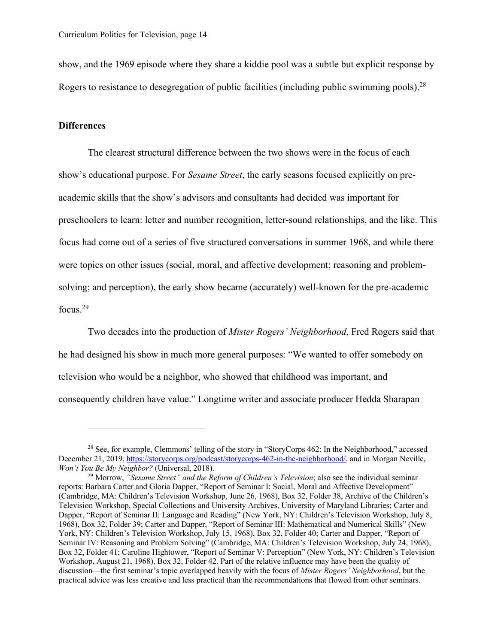show, and the 1969 episode where they share a kiddie pool was a subtle but explicit response by Rogers to resistance to desegregation of public facilities (including public swimming pools).<sup>28</sup>

## **Differences**

The clearest structural difference between the two shows were in the focus of each show's educational purpose. For *Sesame Street*, the early seasons focused explicitly on preacademic skills that the show's advisors and consultants had decided was important for preschoolers to learn: letter and number recognition, letter-sound relationships, and the like. This focus had come out of a series of five structured conversations in summer 1968, and while there were topics on other issues (social, moral, and affective development; reasoning and problemsolving; and perception), the early show became (accurately) well-known for the pre-academic focus.29

Two decades into the production of *Mister Rogers' Neighborhood*, Fred Rogers said that he had designed his show in much more general purposes: "We wanted to offer somebody on television who would be a neighbor, who showed that childhood was important, and consequently children have value." Longtime writer and associate producer Hedda Sharapan

<sup>&</sup>lt;sup>28</sup> See, for example, Clemmons' telling of the story in "StoryCorps 462: In the Neighborhood," accessed December 21, 2019, https://storycorps.org/podcast/storycorps-462-in-the-neighborhood/, and in Morgan Neville, *Won't You Be My Neighbor?* (Universal, 2018).

<sup>29</sup> Morrow, *"Sesame Street" and the Reform of Children's Television*; also see the individual seminar reports: Barbara Carter and Gloria Dapper, "Report of Seminar I: Social, Moral and Affective Development" (Cambridge, MA: Children's Television Workshop, June 26, 1968), Box 32, Folder 38, Archive of the Children's Television Workshop, Special Collections and University Archives, University of Maryland Libraries; Carter and Dapper, "Report of Seminar II: Language and Reading" (New York, NY: Children's Television Workshop, July 8, 1968), Box 32, Folder 39; Carter and Dapper, "Report of Seminar III: Mathematical and Numerical Skills" (New York, NY: Children's Television Workshop, July 15, 1968), Box 32, Folder 40; Carter and Dapper, "Report of Seminar IV: Reasoning and Problem Solving" (Cambridge, MA: Children's Television Workshop, July 24, 1968), Box 32, Folder 41; Caroline Hightower, "Report of Seminar V: Perception" (New York, NY: Children's Television Workshop, August 21, 1968), Box 32, Folder 42. Part of the relative influence may have been the quality of discussion—the first seminar's topic overlapped heavily with the focus of *Mister Rogers' Neighborhood*, but the practical advice was less creative and less practical than the recommendations that flowed from other seminars.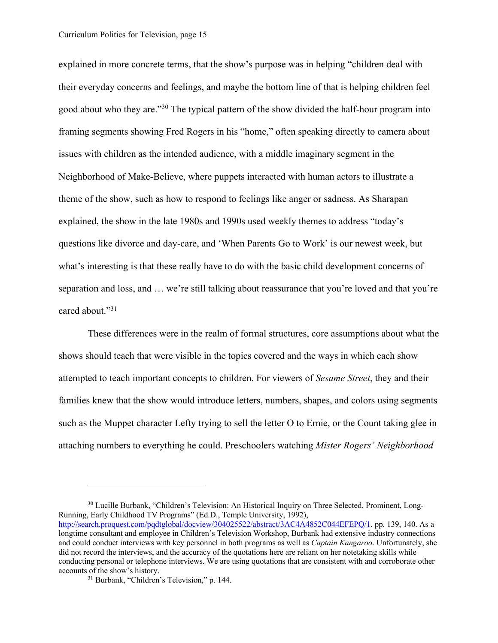explained in more concrete terms, that the show's purpose was in helping "children deal with their everyday concerns and feelings, and maybe the bottom line of that is helping children feel good about who they are."<sup>30</sup> The typical pattern of the show divided the half-hour program into framing segments showing Fred Rogers in his "home," often speaking directly to camera about issues with children as the intended audience, with a middle imaginary segment in the Neighborhood of Make-Believe, where puppets interacted with human actors to illustrate a theme of the show, such as how to respond to feelings like anger or sadness. As Sharapan explained, the show in the late 1980s and 1990s used weekly themes to address "today's questions like divorce and day-care, and 'When Parents Go to Work' is our newest week, but what's interesting is that these really have to do with the basic child development concerns of separation and loss, and … we're still talking about reassurance that you're loved and that you're cared about."31

These differences were in the realm of formal structures, core assumptions about what the shows should teach that were visible in the topics covered and the ways in which each show attempted to teach important concepts to children. For viewers of *Sesame Street*, they and their families knew that the show would introduce letters, numbers, shapes, and colors using segments such as the Muppet character Lefty trying to sell the letter O to Ernie, or the Count taking glee in attaching numbers to everything he could. Preschoolers watching *Mister Rogers' Neighborhood*

<sup>&</sup>lt;sup>30</sup> Lucille Burbank, "Children's Television: An Historical Inquiry on Three Selected, Prominent, Long-Running, Early Childhood TV Programs" (Ed.D., Temple University, 1992), http://search.proquest.com/pqdtglobal/docview/304025522/abstract/3AC4A4852C044EFEPQ/1, pp. 139, 140. As a longtime consultant and employee in Children's Television Workshop, Burbank had extensive industry connections and could conduct interviews with key personnel in both programs as well as *Captain Kangaroo*. Unfortunately, she did not record the interviews, and the accuracy of the quotations here are reliant on her notetaking skills while conducting personal or telephone interviews. We are using quotations that are consistent with and corroborate other accounts of the show's history.<br><sup>31</sup> Burbank, "Children's Television," p. 144.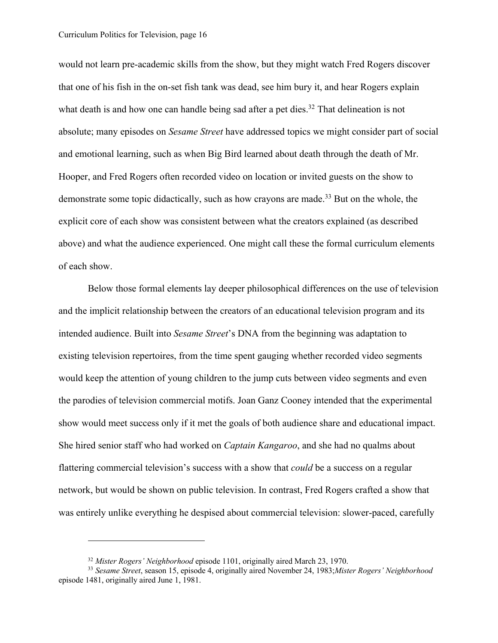would not learn pre-academic skills from the show, but they might watch Fred Rogers discover that one of his fish in the on-set fish tank was dead, see him bury it, and hear Rogers explain what death is and how one can handle being sad after a pet dies.<sup>32</sup> That delineation is not absolute; many episodes on *Sesame Street* have addressed topics we might consider part of social and emotional learning, such as when Big Bird learned about death through the death of Mr. Hooper, and Fred Rogers often recorded video on location or invited guests on the show to demonstrate some topic didactically, such as how crayons are made.<sup>33</sup> But on the whole, the explicit core of each show was consistent between what the creators explained (as described above) and what the audience experienced. One might call these the formal curriculum elements of each show.

Below those formal elements lay deeper philosophical differences on the use of television and the implicit relationship between the creators of an educational television program and its intended audience. Built into *Sesame Street*'s DNA from the beginning was adaptation to existing television repertoires, from the time spent gauging whether recorded video segments would keep the attention of young children to the jump cuts between video segments and even the parodies of television commercial motifs. Joan Ganz Cooney intended that the experimental show would meet success only if it met the goals of both audience share and educational impact. She hired senior staff who had worked on *Captain Kangaroo*, and she had no qualms about flattering commercial television's success with a show that *could* be a success on a regular network, but would be shown on public television. In contrast, Fred Rogers crafted a show that was entirely unlike everything he despised about commercial television: slower-paced, carefully

<sup>32</sup> *Mister Rogers' Neighborhood* episode 1101, originally aired March 23, 1970.

<sup>33</sup> *Sesame Street*, season 15, episode 4, originally aired November 24, 1983;*Mister Rogers' Neighborhood* episode 1481, originally aired June 1, 1981.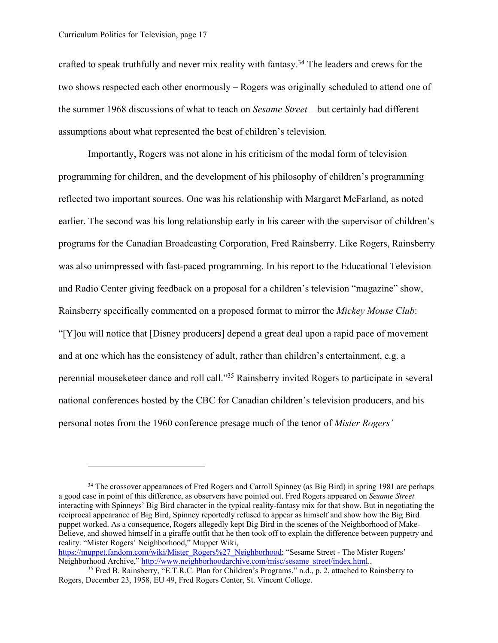crafted to speak truthfully and never mix reality with fantasy.34 The leaders and crews for the two shows respected each other enormously – Rogers was originally scheduled to attend one of the summer 1968 discussions of what to teach on *Sesame Street* – but certainly had different assumptions about what represented the best of children's television.

Importantly, Rogers was not alone in his criticism of the modal form of television programming for children, and the development of his philosophy of children's programming reflected two important sources. One was his relationship with Margaret McFarland, as noted earlier. The second was his long relationship early in his career with the supervisor of children's programs for the Canadian Broadcasting Corporation, Fred Rainsberry. Like Rogers, Rainsberry was also unimpressed with fast-paced programming. In his report to the Educational Television and Radio Center giving feedback on a proposal for a children's television "magazine" show, Rainsberry specifically commented on a proposed format to mirror the *Mickey Mouse Club*: "[Y]ou will notice that [Disney producers] depend a great deal upon a rapid pace of movement and at one which has the consistency of adult, rather than children's entertainment, e.g. a perennial mouseketeer dance and roll call."35 Rainsberry invited Rogers to participate in several national conferences hosted by the CBC for Canadian children's television producers, and his personal notes from the 1960 conference presage much of the tenor of *Mister Rogers'* 

https://muppet.fandom.com/wiki/Mister\_Rogers%27\_Neighborhood; "Sesame Street - The Mister Rogers'<br>Neighborhood Archive," http://www.neighborhoodarchive.com/misc/sesame\_street/index.html..

<sup>&</sup>lt;sup>34</sup> The crossover appearances of Fred Rogers and Carroll Spinney (as Big Bird) in spring 1981 are perhaps a good case in point of this difference, as observers have pointed out. Fred Rogers appeared on *Sesame Street* interacting with Spinneys' Big Bird character in the typical reality-fantasy mix for that show. But in negotiating the reciprocal appearance of Big Bird, Spinney reportedly refused to appear as himself and show how the Big Bird puppet worked. As a consequence, Rogers allegedly kept Big Bird in the scenes of the Neighborhood of Make-Believe, and showed himself in a giraffe outfit that he then took off to explain the difference between puppetry and reality. "Mister Rogers' Neighborhood," Muppet Wiki,

<sup>&</sup>lt;sup>35</sup> Fred B. Rainsberry, "E.T.R.C. Plan for Children's Programs," n.d., p. 2, attached to Rainsberry to Rogers, December 23, 1958, EU 49, Fred Rogers Center, St. Vincent College.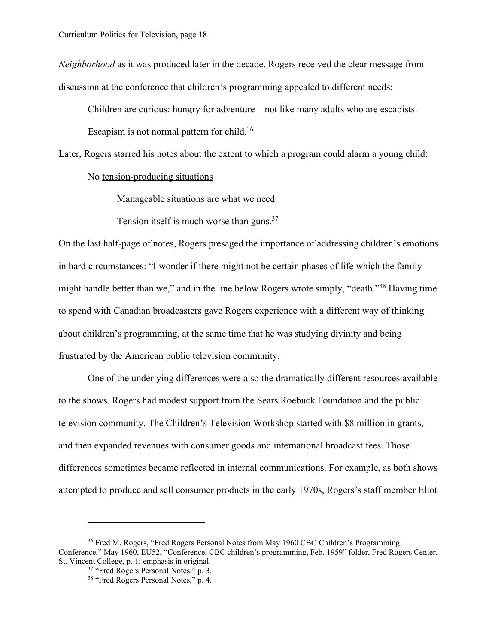*Neighborhood* as it was produced later in the decade. Rogers received the clear message from discussion at the conference that children's programming appealed to different needs:

Children are curious: hungry for adventure—not like many adults who are escapists.

Escapism is not normal pattern for child.<sup>36</sup>

Later, Rogers starred his notes about the extent to which a program could alarm a young child:

No tension-producing situations

Manageable situations are what we need

Tension itself is much worse than guns. $37$ 

On the last half-page of notes, Rogers presaged the importance of addressing children's emotions in hard circumstances: "I wonder if there might not be certain phases of life which the family might handle better than we," and in the line below Rogers wrote simply, "death."38 Having time to spend with Canadian broadcasters gave Rogers experience with a different way of thinking about children's programming, at the same time that he was studying divinity and being frustrated by the American public television community.

One of the underlying differences were also the dramatically different resources available to the shows. Rogers had modest support from the Sears Roebuck Foundation and the public television community. The Children's Television Workshop started with \$8 million in grants, and then expanded revenues with consumer goods and international broadcast fees. Those differences sometimes became reflected in internal communications. For example, as both shows attempted to produce and sell consumer products in the early 1970s, Rogers's staff member Eliot

<sup>36</sup> Fred M. Rogers, "Fred Rogers Personal Notes from May 1960 CBC Children's Programming Conference," May 1960, EU52, "Conference, CBC children's programming, Feb. 1959" folder, Fred Rogers Center, St. Vincent College, p. 1; emphasis in original.

<sup>&</sup>lt;sup>37</sup> "Fred Rogers Personal Notes," p. 3.

<sup>&</sup>lt;sup>38</sup> "Fred Rogers Personal Notes," p. 4.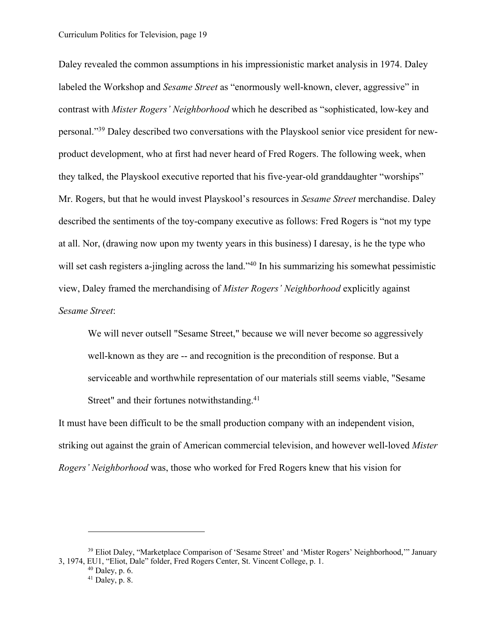Daley revealed the common assumptions in his impressionistic market analysis in 1974. Daley labeled the Workshop and *Sesame Street* as "enormously well-known, clever, aggressive" in contrast with *Mister Rogers' Neighborhood* which he described as "sophisticated, low-key and personal."39 Daley described two conversations with the Playskool senior vice president for newproduct development, who at first had never heard of Fred Rogers. The following week, when they talked, the Playskool executive reported that his five-year-old granddaughter "worships" Mr. Rogers, but that he would invest Playskool's resources in *Sesame Street* merchandise. Daley described the sentiments of the toy-company executive as follows: Fred Rogers is "not my type at all. Nor, (drawing now upon my twenty years in this business) I daresay, is he the type who will set cash registers a-jingling across the land."<sup>40</sup> In his summarizing his somewhat pessimistic view, Daley framed the merchandising of *Mister Rogers' Neighborhood* explicitly against *Sesame Street*:

We will never outsell "Sesame Street," because we will never become so aggressively well-known as they are -- and recognition is the precondition of response. But a serviceable and worthwhile representation of our materials still seems viable, "Sesame Street" and their fortunes notwithstanding.<sup>41</sup>

It must have been difficult to be the small production company with an independent vision, striking out against the grain of American commercial television, and however well-loved *Mister Rogers' Neighborhood* was, those who worked for Fred Rogers knew that his vision for

<sup>&</sup>lt;sup>39</sup> Eliot Daley, "Marketplace Comparison of 'Sesame Street' and 'Mister Rogers' Neighborhood," January 3, 1974, EU1, "Eliot, Dale" folder, Fred Rogers Center, St. Vincent College, p. 1.

 $40$  Daley, p. 6.

 $41$  Daley, p. 8.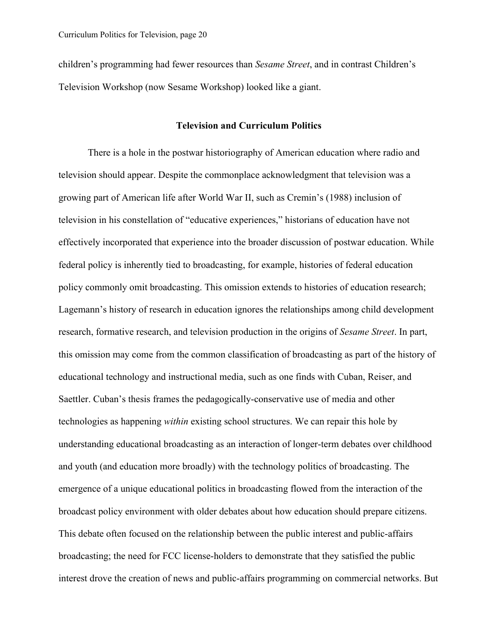children's programming had fewer resources than *Sesame Street*, and in contrast Children's Television Workshop (now Sesame Workshop) looked like a giant.

### **Television and Curriculum Politics**

There is a hole in the postwar historiography of American education where radio and television should appear. Despite the commonplace acknowledgment that television was a growing part of American life after World War II, such as Cremin's (1988) inclusion of television in his constellation of "educative experiences," historians of education have not effectively incorporated that experience into the broader discussion of postwar education. While federal policy is inherently tied to broadcasting, for example, histories of federal education policy commonly omit broadcasting. This omission extends to histories of education research; Lagemann's history of research in education ignores the relationships among child development research, formative research, and television production in the origins of *Sesame Street*. In part, this omission may come from the common classification of broadcasting as part of the history of educational technology and instructional media, such as one finds with Cuban, Reiser, and Saettler. Cuban's thesis frames the pedagogically-conservative use of media and other technologies as happening *within* existing school structures. We can repair this hole by understanding educational broadcasting as an interaction of longer-term debates over childhood and youth (and education more broadly) with the technology politics of broadcasting. The emergence of a unique educational politics in broadcasting flowed from the interaction of the broadcast policy environment with older debates about how education should prepare citizens. This debate often focused on the relationship between the public interest and public-affairs broadcasting; the need for FCC license-holders to demonstrate that they satisfied the public interest drove the creation of news and public-affairs programming on commercial networks. But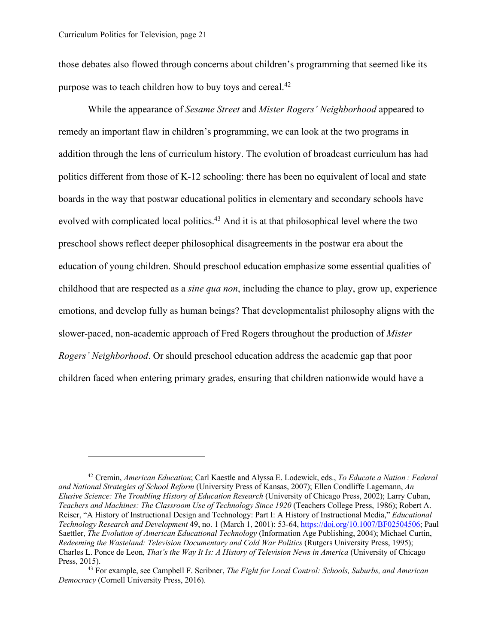those debates also flowed through concerns about children's programming that seemed like its purpose was to teach children how to buy toys and cereal.<sup>42</sup>

While the appearance of *Sesame Street* and *Mister Rogers' Neighborhood* appeared to remedy an important flaw in children's programming, we can look at the two programs in addition through the lens of curriculum history. The evolution of broadcast curriculum has had politics different from those of K-12 schooling: there has been no equivalent of local and state boards in the way that postwar educational politics in elementary and secondary schools have evolved with complicated local politics.<sup>43</sup> And it is at that philosophical level where the two preschool shows reflect deeper philosophical disagreements in the postwar era about the education of young children. Should preschool education emphasize some essential qualities of childhood that are respected as a *sine qua non*, including the chance to play, grow up, experience emotions, and develop fully as human beings? That developmentalist philosophy aligns with the slower-paced, non-academic approach of Fred Rogers throughout the production of *Mister Rogers' Neighborhood*. Or should preschool education address the academic gap that poor children faced when entering primary grades, ensuring that children nationwide would have a

<sup>42</sup> Cremin, *American Education*; Carl Kaestle and Alyssa E. Lodewick, eds., *To Educate a Nation : Federal and National Strategies of School Reform* (University Press of Kansas, 2007); Ellen Condliffe Lagemann, *An Elusive Science: The Troubling History of Education Research* (University of Chicago Press, 2002); Larry Cuban, *Teachers and Machines: The Classroom Use of Technology Since 1920* (Teachers College Press, 1986); Robert A. Reiser, "A History of Instructional Design and Technology: Part I: A History of Instructional Media," *Educational Technology Research and Development* 49, no. 1 (March 1, 2001): 53-64, https://doi.org/10.1007/BF02504506; Paul Saettler, *The Evolution of American Educational Technology* (Information Age Publishing, 2004); Michael Curtin, *Redeeming the Wasteland: Television Documentary and Cold War Politics* (Rutgers University Press, 1995); Charles L. Ponce de Leon, *That's the Way It Is: A History of Television News in America* (University of Chicago Press, 2015).

<sup>43</sup> For example, see Campbell F. Scribner, *The Fight for Local Control: Schools, Suburbs, and American Democracy* (Cornell University Press, 2016).